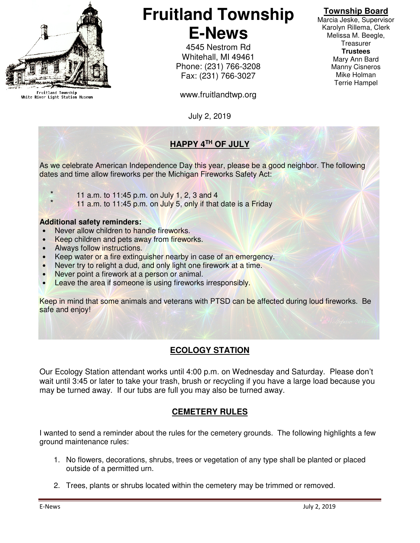

Fruitland Township<br>White River Light Station Museum

# **Fruitland Township E-News**

4545 Nestrom Rd Whitehall, MI 49461 Phone: (231) 766-3208 Fax: (231) 766-3027

www.fruitlandtwp.org

July 2, 2019

# **HAPPY 4TH OF JULY**

As we celebrate American Independence Day this year, please be a good neighbor. The following dates and time allow fireworks per the Michigan Fireworks Safety Act:

- - $*$  11 a.m. to 11:45 p.m. on July 1, 2, 3 and 4
		- 11 a.m. to 11:45 p.m. on July 5, only if that date is a Friday

#### **Additional safety reminders:**

- Never allow children to handle fireworks.
- Keep children and pets away from fireworks.
- Always follow instructions.
- Keep water or a fire extinguisher nearby in case of an emergency.
- Never try to relight a dud, and only light one firework at a time.
- Never point a firework at a person or animal.
- Leave the area if someone is using fireworks irresponsibly.

Keep in mind that some animals and veterans with PTSD can be affected during loud fireworks. Be safe and enjoy!

## **ECOLOGY STATION**

Our Ecology Station attendant works until 4:00 p.m. on Wednesday and Saturday. Please don't wait until 3:45 or later to take your trash, brush or recycling if you have a large load because you may be turned away. If our tubs are full you may also be turned away.

## **CEMETERY RULES**

I wanted to send a reminder about the rules for the cemetery grounds. The following highlights a few ground maintenance rules:

- 1. No flowers, decorations, shrubs, trees or vegetation of any type shall be planted or placed outside of a permitted urn.
- 2. Trees, plants or shrubs located within the cemetery may be trimmed or removed.

Marcia Jeske, Supervisor Karolyn Rillema, Clerk Melissa M. Beegle, **Treasurer Trustees**  Mary Ann Bard Manny Cisneros Mike Holman Terrie Hampel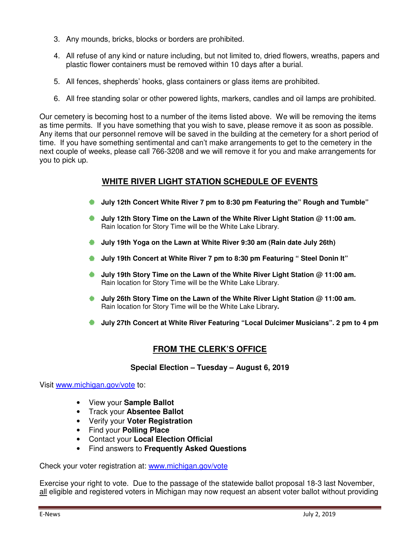- 3. Any mounds, bricks, blocks or borders are prohibited.
- 4. All refuse of any kind or nature including, but not limited to, dried flowers, wreaths, papers and plastic flower containers must be removed within 10 days after a burial.
- 5. All fences, shepherds' hooks, glass containers or glass items are prohibited.
- 6. All free standing solar or other powered lights, markers, candles and oil lamps are prohibited.

Our cemetery is becoming host to a number of the items listed above. We will be removing the items as time permits. If you have something that you wish to save, please remove it as soon as possible. Any items that our personnel remove will be saved in the building at the cemetery for a short period of time. If you have something sentimental and can't make arrangements to get to the cemetery in the next couple of weeks, please call 766-3208 and we will remove it for you and make arrangements for you to pick up.

#### **WHITE RIVER LIGHT STATION SCHEDULE OF EVENTS**

- **July 12th Concert White River 7 pm to 8:30 pm Featuring the" Rough and Tumble"**
- **July 12th Story Time on the Lawn of the White River Light Station @ 11:00 am.**  Rain location for Story Time will be the White Lake Library.
- **July 19th Yoga on the Lawn at White River 9:30 am (Rain date July 26th)**
- **July 19th Concert at White River 7 pm to 8:30 pm Featuring " Steel Donin It"**
- **July 19th Story Time on the Lawn of the White River Light Station @ 11:00 am.**  Rain location for Story Time will be the White Lake Library.
- **July 26th Story Time on the Lawn of the White River Light Station @ 11:00 am.**  Rain location for Story Time will be the White Lake Library**.**
- **July 27th Concert at White River Featuring "Local Dulcimer Musicians". 2 pm to 4 pm**

#### **FROM THE CLERK'S OFFICE**

**Special Election – Tuesday – August 6, 2019** 

Visit www.michigan.gov/vote to:

- View your **Sample Ballot**
- Track your **Absentee Ballot**
- Verify your **Voter Registration**
- Find your **Polling Place**
- Contact your **Local Election Official**
- Find answers to **Frequently Asked Questions**

Check your voter registration at: www.michigan.gov/vote

Exercise your right to vote. Due to the passage of the statewide ballot proposal 18-3 last November, all eligible and registered voters in Michigan may now request an absent voter ballot without providing